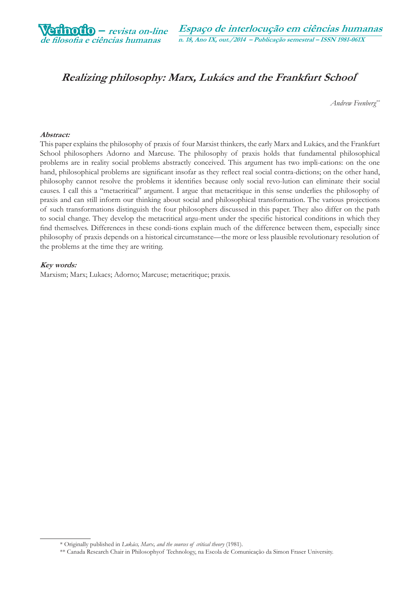*Antônio José Lopes Alves* **Verinotio – revista on-line de filosofia e ciências humanas**

# **Realizing philosophy: Marx, Lukács and the Frankfurt School***\**

*Andrew Feenberg\*\**

#### **Abstract:**

This paper explains the philosophy of praxis of four Marxist thinkers, the early Marx and Lukács, and the Frankfurt School philosophers Adorno and Marcuse. The philosophy of praxis holds that fundamental philosophical problems are in reality social problems abstractly conceived. This argument has two impli-cations: on the one hand, philosophical problems are significant insofar as they reflect real social contra-dictions; on the other hand, philosophy cannot resolve the problems it identifies because only social revo-lution can eliminate their social causes. I call this a "metacritical" argument. I argue that metacritique in this sense underlies the philosophy of praxis and can still inform our thinking about social and philosophical transformation. The various projections of such transformations distinguish the four philosophers discussed in this paper. They also differ on the path to social change. They develop the metacritical argu-ment under the specific historical conditions in which they find themselves. Differences in these condi-tions explain much of the difference between them, especially since philosophy of praxis depends on a historical circumstance—the more or less plausible revolutionary resolution of the problems at the time they are writing.

#### **Key words:**

Marxism; Marx; Lukacs; Adorno; Marcuse; metacritique; praxis.

<sup>\*</sup> Originally published in *Lukács, Marx, and the sources of critical theory* (1981).

<sup>\*\*</sup> Canada Research Chair in Philosophyof Technology, na Escola de Comunicação da Simon Fraser University.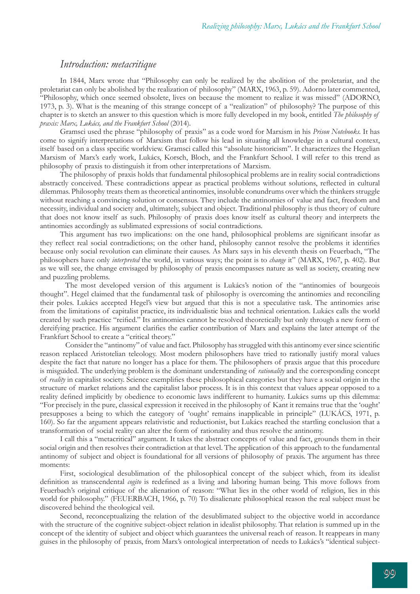### *Introduction: metacritique*

In 1844, Marx wrote that "Philosophy can only be realized by the abolition of the proletariat, and the proletariat can only be abolished by the realization of philosophy" (MARX, 1963, p. 59). Adorno later commented, "Philosophy, which once seemed obsolete, lives on because the moment to realize it was missed" (ADORNO, 1973, p. 3). What is the meaning of this strange concept of a "realization" of philosophy? The purpose of this chapter is to sketch an answer to this question which is more fully developed in my book, entitled *The philosophy of praxis: Marx, Lukács, and the Frankfurt School* (2014)*.* 

Gramsci used the phrase "philosophy of praxis" as a code word for Marxism in his *Prison Notebooks.* It has come to signify interpretations of Marxism that follow his lead in situating all knowledge in a cultural context, itself based on a class specific worldview. Gramsci called this "absolute historicism". It characterizes the Hegelian Marxism of Marx's early work, Lukács, Korsch, Bloch, and the Frankfurt School. I will refer to this trend as philosophy of praxis to distinguish it from other interpretations of Marxism.

The philosophy of praxis holds that fundamental philosophical problems are in reality social contradictions abstractly conceived. These contradictions appear as practical problems without solutions, reflected in cultural dilemmas. Philosophy treats them as theoretical antinomies, insoluble conundrums over which the thinkers struggle without reaching a convincing solution or consensus. They include the antinomies of value and fact, freedom and necessity, individual and society and, ultimately, subject and object. Traditional philosophy is thus theory of culture that does not know itself as such. Philosophy of praxis does know itself as cultural theory and interprets the antinomies accordingly as sublimated expressions of social contradictions.

This argument has two implications: on the one hand, philosophical problems are significant insofar as they reflect real social contradictions; on the other hand, philosophy cannot resolve the problems it identifies because only social revolution can eliminate their causes. As Marx says in his eleventh thesis on Feuerbach, "The philosophers have only *interpreted* the world, in various ways; the point is to *change* it" (MARX, 1967, p. 402). But as we will see, the change envisaged by philosophy of praxis encompasses nature as well as society, creating new and puzzling problems.

The most developed version of this argument is Lukács's notion of the "antinomies of bourgeois thought". Hegel claimed that the fundamental task of philosophy is overcoming the antinomies and reconciling their poles. Lukács accepted Hegel's view but argued that this is not a speculative task. The antinomies arise from the limitations of capitalist practice, its individualistic bias and technical orientation. Lukács calls the world created by such practice "reified." Its antinomies cannot be resolved theoretically but only through a new form of dereifying practice. His argument clarifies the earlier contribution of Marx and explains the later attempt of the Frankfurt School to create a "critical theory."

Consider the "antinomy" of value and fact. Philosophy has struggled with this antinomy ever since scientific reason replaced Aristotelian teleology. Most modern philosophers have tried to rationally justify moral values despite the fact that nature no longer has a place for them. The philosophers of praxis argue that this procedure is misguided. The underlying problem is the dominant understanding of *rationality* and the corresponding concept of *reality* in capitalist society. Science exemplifies these philosophical categories but they have a social origin in the structure of market relations and the capitalist labor process. It is in this context that values appear opposed to a reality defined implicitly by obedience to economic laws indifferent to humanity. Lukács sums up this dilemma: "For precisely in the pure, classical expression it received in the philosophy of Kant it remains true that the 'ought' presupposes a being to which the category of 'ought' remains inapplicable in principle" (LUKÁCS, 1971, p. 160). So far the argument appears relativistic and reductionist, but Lukács reached the startling conclusion that a transformation of social reality can alter the form of rationality and thus resolve the antinomy.

I call this a "metacritical" argument. It takes the abstract concepts of value and fact, grounds them in their social origin and then resolves their contradiction at that level. The application of this approach to the fundamental antinomy of subject and object is foundational for all versions of philosophy of praxis. The argument has three moments:

First, sociological desublimation of the philosophical concept of the subject which, from its idealist definition as transcendental *cogito* is redefined as a living and laboring human being. This move follows from Feuerbach's original critique of the alienation of reason: "What lies in the other world of religion, lies in this world for philosophy." (FEUERBACH, 1966, p. 70) To disalienate philosophical reason the real subject must be discovered behind the theological veil.

Second, reconceptualizing the relation of the desublimated subject to the objective world in accordance with the structure of the cognitive subject-object relation in idealist philosophy. That relation is summed up in the concept of the identity of subject and object which guarantees the universal reach of reason. It reappears in many guises in the philosophy of praxis, from Marx's ontological interpretation of needs to Lukács's "identical subject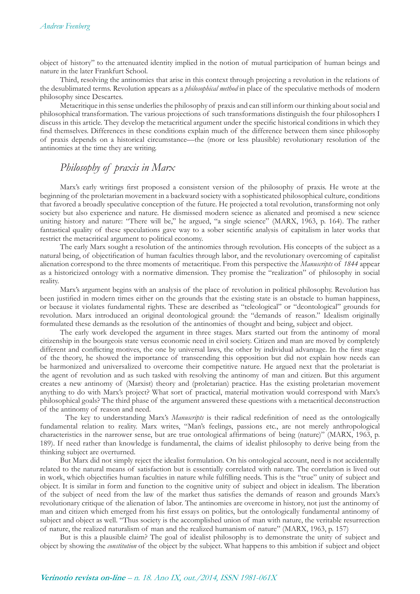object of history" to the attenuated identity implied in the notion of mutual participation of human beings and nature in the later Frankfurt School.

Third, resolving the antinomies that arise in this context through projecting a revolution in the relations of the desublimated terms. Revolution appears as a *philosophical method* in place of the speculative methods of modern philosophy since Descartes.

Metacritique in this sense underlies the philosophy of praxis and can still inform our thinking about social and philosophical transformation. The various projections of such transformations distinguish the four philosophers I discuss in this article. They develop the metacritical argument under the specific historical conditions in which they find themselves. Differences in these conditions explain much of the difference between them since philosophy of praxis depends on a historical circumstance—the (more or less plausible) revolutionary resolution of the antinomies at the time they are writing.

# *Philosophy of praxis in Marx*

Marx's early writings first proposed a consistent version of the philosophy of praxis. He wrote at the beginning of the proletarian movement in a backward society with a sophisticated philosophical culture, conditions that favored a broadly speculative conception of the future. He projected a total revolution, transforming not only society but also experience and nature. He dismissed modern science as alienated and promised a new science uniting history and nature: "There will be," he argued, "a single science" (MARX, 1963, p. 164). The rather fantastical quality of these speculations gave way to a sober scientific analysis of capitalism in later works that restrict the metacritical argument to political economy.

The early Marx sought a resolution of the antinomies through revolution. His concepts of the subject as a natural being, of objectification of human faculties through labor, and the revolutionary overcoming of capitalist alienation correspond to the three moments of metacritique. From this perspective the *Manuscripts* of *1844* appear as a historicized ontology with a normative dimension. They promise the "realization" of philosophy in social reality.

Marx's argument begins with an analysis of the place of revolution in political philosophy. Revolution has been justified in modern times either on the grounds that the existing state is an obstacle to human happiness, or because it violates fundamental rights. These are described as "teleological" or "deontological" grounds for revolution. Marx introduced an original deontological ground: the "demands of reason." Idealism originally formulated these demands as the resolution of the antinomies of thought and being, subject and object.

The early work developed the argument in three stages. Marx started out from the antinomy of moral citizenship in the bourgeois state versus economic need in civil society. Citizen and man are moved by completely different and conflicting motives, the one by universal laws, the other by individual advantage. In the first stage of the theory, he showed the importance of transcending this opposition but did not explain how needs can be harmonized and universalized to overcome their competitive nature. He argued next that the proletariat is the agent of revolution and as such tasked with resolving the antinomy of man and citizen. But this argument creates a new antinomy of (Marxist) theory and (proletarian) practice. Has the existing proletarian movement anything to do with Marx's project? What sort of practical, material motivation would correspond with Marx's philosophical goals? The third phase of the argument answered these questions with a metacritical deconstruction of the antinomy of reason and need.

The key to understanding Marx's *Manuscripts* is their radical redefinition of need as the ontologically fundamental relation to reality. Marx writes, "Man's feelings, passions etc., are not merely anthropological characteristics in the narrower sense, but are true ontological affirmations of being (nature)" (MARX, 1963, p. 189). If need rather than knowledge is fundamental, the claims of idealist philosophy to derive being from the thinking subject are overturned.

But Marx did not simply reject the idealist formulation. On his ontological account, need is not accidentally related to the natural means of satisfaction but is essentially correlated with nature. The correlation is lived out in work, which objectifies human faculties in nature while fulfilling needs. This is the "true" unity of subject and object. It is similar in form and function to the cognitive unity of subject and object in idealism. The liberation of the subject of need from the law of the market thus satisfies the demands of reason and grounds Marx's revolutionary critique of the alienation of labor. The antinomies are overcome in history, not just the antinomy of man and citizen which emerged from his first essays on politics, but the ontologically fundamental antinomy of subject and object as well. "Thus society is the accomplished union of man with nature, the veritable resurrection of nature, the realized naturalism of man and the realized humanism of nature" (MARX, 1963, p. 157)

But is this a plausible claim? The goal of idealist philosophy is to demonstrate the unity of subject and object by showing the *constitution* of the object by the subject. What happens to this ambition if subject and object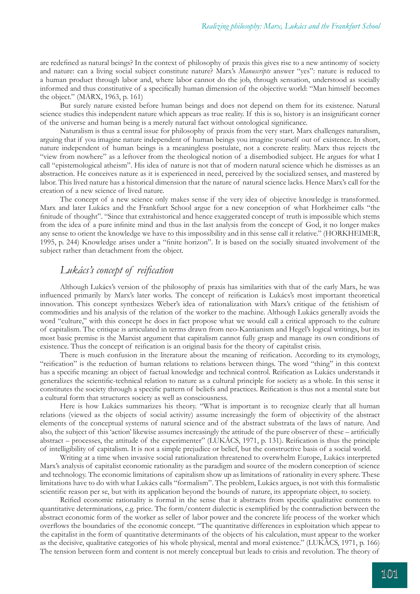are redefined as natural beings? In the context of philosophy of praxis this gives rise to a new antinomy of society and nature: can a living social subject constitute nature? Marx's *Manuscripts* answer "yes": nature is reduced to a human product through labor and, where labor cannot do the job, through sensation, understood as socially informed and thus constitutive of a specifically human dimension of the objective world: "Man himself becomes the object." (MARX, 1963, p. 161)

But surely nature existed before human beings and does not depend on them for its existence. Natural science studies this independent nature which appears as true reality. If this is so, history is an insignificant corner of the universe and human being is a merely natural fact without ontological significance.

Naturalism is thus a central issue for philosophy of praxis from the very start. Marx challenges naturalism, arguing that if you imagine nature independent of human beings you imagine yourself out of existence. In short, nature independent of human beings is a meaningless postulate, not a concrete reality. Marx thus rejects the "view from nowhere" as a leftover from the theological notion of a disembodied subject. He argues for what I call "epistemological atheism". His idea of nature is not that of modern natural science which he dismisses as an abstraction. He conceives nature as it is experienced in need, perceived by the socialized senses, and mastered by labor. This lived nature has a historical dimension that the nature of natural science lacks. Hence Marx's call for the creation of a new science of lived nature.

The concept of a new science only makes sense if the very idea of objective knowledge is transformed. Marx and later Lukács and the Frankfurt School argue for a new conception of what Horkheimer calls "the finitude of thought". "Since that extrahistorical and hence exaggerated concept of truth is impossible which stems from the idea of a pure infinite mind and thus in the last analysis from the concept of God, it no longer makes any sense to orient the knowledge we have to this impossibility and in this sense call it relative." (HORKHEIMER, 1995, p. 244) Knowledge arises under a "finite horizon". It is based on the socially situated involvement of the subject rather than detachment from the object.

## *Lukács's concept of reification*

Although Lukács's version of the philosophy of praxis has similarities with that of the early Marx, he was influenced primarily by Marx's later works. The concept of reification is Lukács's most important theoretical innovation. This concept synthesizes Weber's idea of rationalization with Marx's critique of the fetishism of commodities and his analysis of the relation of the worker to the machine. Although Lukács generally avoids the word "culture," with this concept he does in fact propose what we would call a critical approach to the culture of capitalism. The critique is articulated in terms drawn from neo-Kantianism and Hegel's logical writings, but its most basic premise is the Marxist argument that capitalism cannot fully grasp and manage its own conditions of existence. Thus the concept of reification is an original basis for the theory of capitalist crisis.

There is much confusion in the literature about the meaning of reification. According to its etymology, "reification" is the reduction of human relations to relations between things. The word "thing" in this context has a specific meaning: an object of factual knowledge and technical control. Reification as Lukács understands it generalizes the scientific-technical relation to nature as a cultural principle for society as a whole. In this sense it constitutes the society through a specific pattern of beliefs and practices. Reification is thus not a mental state but a cultural form that structures society as well as consciousness.

Here is how Lukács summarizes his theory. "What is important is to recognize clearly that all human relations (viewed as the objects of social activity) assume increasingly the form of objectivity of the abstract elements of the conceptual systems of natural science and of the abstract substrata of the laws of nature. And also, the subject of this 'action' likewise assumes increasingly the attitude of the pure observer of these – artificially abstract – processes, the attitude of the experimenter" (LUKÁCS, 1971, p. 131). Reification is thus the principle of intelligibility of capitalism. It is not a simple prejudice or belief, but the constructive basis of a social world.

Writing at a time when invasive social rationalization threatened to overwhelm Europe, Lukács interpreted Marx's analysis of capitalist economic rationality as the paradigm and source of the modern conception of science and technology. The economic limitations of capitalism show up as limitations of rationality in every sphere. These limitations have to do with what Lukács calls "formalism". The problem, Lukács argues, is not with this formalistic scientific reason per se, but with its application beyond the bounds of nature, its appropriate object, to society.

Reified economic rationality is formal in the sense that it abstracts from specific qualitative contents to quantitative determinations, e.g. price. The form/content dialectic is exemplified by the contradiction between the abstract economic form of the worker as seller of labor power and the concrete life process of the worker which overflows the boundaries of the economic concept. "The quantitative differences in exploitation which appear to the capitalist in the form of quantitative determinants of the objects of his calculation, must appear to the worker as the decisive, qualitative categories of his whole physical, mental and moral existence." (LUKÁCS, 1971, p. 166) The tension between form and content is not merely conceptual but leads to crisis and revolution. The theory of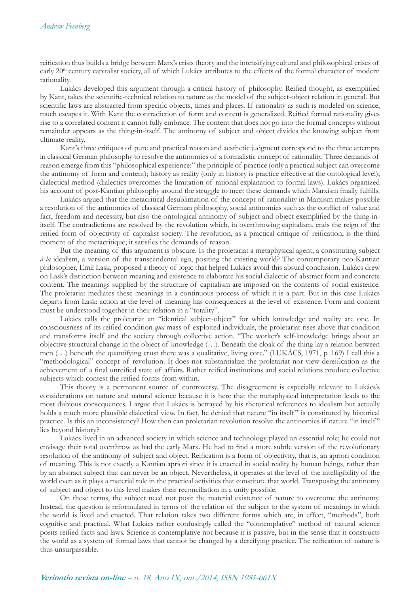reification thus builds a bridge between Marx's crisis theory and the intensifying cultural and philosophical crises of early 20<sup>th</sup> century capitalist society, all of which Lukács attributes to the effects of the formal character of modern rationality.

Lukács developed this argument through a critical history of philosophy. Reified thought, as exemplified by Kant, takes the scientific-technical relation to nature as the model of the subject-object relation in general. But scientific laws are abstracted from specific objects, times and places. If rationality as such is modeled on science, much escapes it. With Kant the contradiction of form and content is generalized. Reified formal rationality gives rise to a correlated content it cannot fully embrace. The content that does not go into the formal concepts without remainder appears as the thing-in-itself. The antinomy of subject and object divides the knowing subject from ultimate reality.

Kant's three critiques of pure and practical reason and aesthetic judgment correspond to the three attempts in classical German philosophy to resolve the antinomies of a formalistic concept of rationality. Three demands of reason emerge from this "philosophical experience:" the principle of practice (only a practical subject can overcome the antinomy of form and content); history as reality (only in history is practice effective at the ontological level); dialectical method (dialectics overcomes the limitation of rational explanation to formal laws). Lukács organized his account of post-Kantian philosophy around the struggle to meet these demands which Marxism finally fulfills.

Lukács argued that the metacritical desublimation of the concept of rationality in Marxism makes possible a resolution of the antinomies of classical German philosophy, social antinomies such as the conflict of value and fact, freedom and necessity, but also the ontological antinomy of subject and object exemplified by the thing-initself. The contradictions are resolved by the revolution which, in overthrowing capitalism, ends the reign of the reified form of objectivity of capitalist society. The revolution, as a practical critique of reification, is the third moment of the metacritique; it satisfies the demands of reason.

But the meaning of this argument is obscure. Is the proletariat a metaphysical agent, a constituting subject *à la* idealism, a version of the transcendental ego, positing the existing world? The contemporary neo-Kantian philosopher, Emil Lask, proposed a theory of logic that helped Lukács avoid this absurd conclusion. Lukács drew on Lask's distinction between meaning and existence to elaborate his social dialectic of abstract form and concrete content. The meanings supplied by the structure of capitalism are imposed on the contents of social existence. The proletariat mediates these meanings in a continuous process of which it is a part. But in this case Lukács departs from Lask: action at the level of meaning has consequences at the level of existence. Form and content must be understood together in their relation in a "totality".

Lukács calls the proletariat an "identical subject-object" for which knowledge and reality are one. In consciousness of its reified condition *qua* mass of exploited individuals, the proletariat rises above that condition and transforms itself and the society through collective action. "The worker's self-knowledge brings about an objective structural change in the object of knowledge  $(\ldots)$ . Beneath the cloak of the thing lay a relation between men (…) beneath the quantifying crust there was a qualitative, living core." (LUKÁCS, 1971, p. 169) I call this a "methodological" concept of revolution. It does not substantialize the proletariat nor view dereification as the achievement of a final unreified state of affairs. Rather reified institutions and social relations produce collective subjects which contest the reified forms from within.

This theory is a permanent source of controversy. The disagreement is especially relevant to Lukács's considerations on nature and natural science because it is here that the metaphysical interpretation leads to the most dubious consequences. I argue that Lukács is betrayed by his rhetorical references to idealism but actually holds a much more plausible dialectical view. In fact, he denied that nature "in itself" is constituted by historical practice. Is this an inconsistency? How then can proletarian revolution resolve the antinomies if nature "in itself " lies beyond history?

Lukács lived in an advanced society in which science and technology played an essential role; he could not envisage their total overthrow as had the early Marx. He had to find a more subtle version of the revolutionary resolution of the antinomy of subject and object. Reification is a form of objectivity, that is, an apriori condition of meaning. This is not exactly a Kantian apriori since it is enacted in social reality by human beings, rather than by an abstract subject that can never be an object. Nevertheless, it operates at the level of the intelligibility of the world even as it plays a material role in the practical activities that constitute that world. Transposing the antinomy of subject and object to this level makes their reconciliation in a unity possible.

On these terms, the subject need not posit the material existence of nature to overcome the antinomy. Instead, the question is reformulated in terms of the relation of the subject to the system of meanings in which the world is lived and enacted. That relation takes two different forms which are, in effect, "methods", both cognitive and practical. What Lukács rather confusingly called the "contemplative" method of natural science posits reified facts and laws. Science is contemplative not because it is passive, but in the sense that it constructs the world as a system of formal laws that cannot be changed by a dereifying practice. The reification of nature is thus unsurpassable.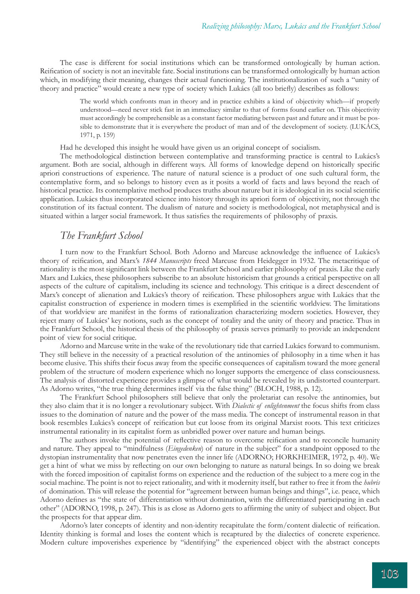The case is different for social institutions which can be transformed ontologically by human action. Reification of society is not an inevitable fate. Social institutions can be transformed ontologically by human action which, in modifying their meaning, changes their actual functioning. The institutionalization of such a "unity of theory and practice" would create a new type of society which Lukács (all too briefly) describes as follows:

> The world which confronts man in theory and in practice exhibits a kind of objectivity which—if properly understood—need never stick fast in an immediacy similar to that of forms found earlier on. This objectivity must accordingly be comprehensible as a constant factor mediating between past and future and it must be possible to demonstrate that it is everywhere the product of man and of the development of society. (LUKÁCS, 1971, p. 159)

Had he developed this insight he would have given us an original concept of socialism.

The methodological distinction between contemplative and transforming practice is central to Lukács's argument. Both are social, although in different ways. All forms of knowledge depend on historically specific apriori constructions of experience. The nature of natural science is a product of one such cultural form, the contemplative form, and so belongs to history even as it posits a world of facts and laws beyond the reach of historical practice. Its contemplative method produces truths about nature but it is ideological in its social scientific application. Lukács thus incorporated science into history through its apriori form of objectivity, not through the constitution of its factual content. The dualism of nature and society is methodological, not metaphysical and is situated within a larger social framework. It thus satisfies the requirements of philosophy of praxis.

### *The Frankfurt School*

I turn now to the Frankfurt School. Both Adorno and Marcuse acknowledge the influence of Lukács's theory of reification, and Marx's *1844 Manuscripts* freed Marcuse from Heidegger in 1932. The metacritique of rationality is the most significant link between the Frankfurt School and earlier philosophy of praxis. Like the early Marx and Lukács, these philosophers subscribe to an absolute historicism that grounds a critical perspective on all aspects of the culture of capitalism, including its science and technology. This critique is a direct descendent of Marx's concept of alienation and Lukács's theory of reification. These philosophers argue with Lukács that the capitalist construction of experience in modern times is exemplified in the scientific worldview. The limitations of that worldview are manifest in the forms of rationalization characterizing modern societies. However, they reject many of Lukács' key notions, such as the concept of totality and the unity of theory and practice. Thus in the Frankfurt School, the historical thesis of the philosophy of praxis serves primarily to provide an independent point of view for social critique.

Adorno and Marcuse write in the wake of the revolutionary tide that carried Lukács forward to communism. They still believe in the necessity of a practical resolution of the antinomies of philosophy in a time when it has become elusive. This shifts their focus away from the specific consequences of capitalism toward the more general problem of the structure of modern experience which no longer supports the emergence of class consciousness. The analysis of distorted experience provides a glimpse of what would be revealed by its undistorted counterpart. As Adorno writes, "the true thing determines itself via the false thing" (BLOCH, 1988, p. 12).

The Frankfurt School philosophers still believe that only the proletariat can resolve the antinomies, but they also claim that it is no longer a revolutionary subject. With *Dialectic of enlightenment* the focus shifts from class issues to the domination of nature and the power of the mass media*.* The concept of instrumental reason in that book resembles Lukács's concept of reification but cut loose from its original Marxist roots. This text criticizes instrumental rationality in its capitalist form as unbridled power over nature and human beings.

The authors invoke the potential of reflective reason to overcome reification and to reconcile humanity and nature. They appeal to "mindfulness (*Eingedenken*) of nature in the subject" for a standpoint opposed to the dystopian instrumentality that now penetrates even the inner life (ADORNO; HORKHEIMER, 1972, p. 40). We get a hint of what we miss by reflecting on our own belonging to nature as natural beings. In so doing we break with the forced imposition of capitalist forms on experience and the reduction of the subject to a mere cog in the social machine. The point is not to reject rationality, and with it modernity itself, but rather to free it from the *hubris* of domination. This will release the potential for "agreement between human beings and things", i.e. peace, which Adorno defines as "the state of differentiation without domination, with the differentiated participating in each other" (ADORNO, 1998, p. 247). This is as close as Adorno gets to affirming the unity of subject and object. But the prospects for that appear dim.

Adorno's later concepts of identity and non-identity recapitulate the form/content dialectic of reification. Identity thinking is formal and loses the content which is recaptured by the dialectics of concrete experience. Modern culture impoverishes experience by "identifying" the experienced object with the abstract concepts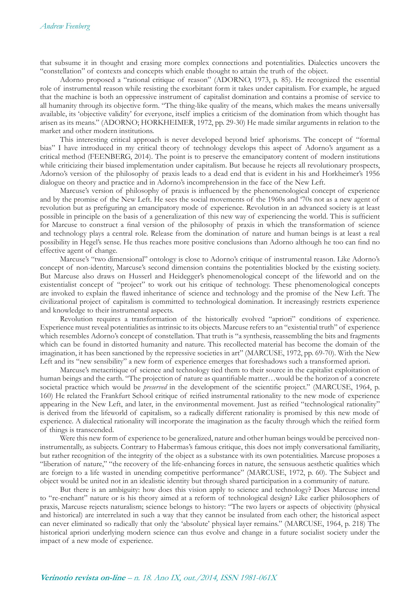that subsume it in thought and erasing more complex connections and potentialities. Dialectics uncovers the "constellation" of contexts and concepts which enable thought to attain the truth of the object.

Adorno proposed a "rational critique of reason" (ADORNO, 1973, p. 85). He recognized the essential role of instrumental reason while resisting the exorbitant form it takes under capitalism. For example, he argued that the machine is both an oppressive instrument of capitalist domination and contains a promise of service to all humanity through its objective form. "The thing-like quality of the means, which makes the means universally available, its 'objective validity' for everyone, itself implies a criticism of the domination from which thought has arisen as its means." (ADORNO; HORKHEIMER, 1972, pp. 29-30) He made similar arguments in relation to the market and other modern institutions.

This interesting critical approach is never developed beyond brief aphorisms. The concept of "formal bias" I have introduced in my critical theory of technology develops this aspect of Adorno's argument as a critical method (FEENBERG, 2014). The point is to preserve the emancipatory content of modern institutions while criticizing their biased implementation under capitalism. But because he rejects all revolutionary prospects, Adorno's version of the philosophy of praxis leads to a dead end that is evident in his and Horkheimer's 1956 dialogue on theory and practice and in Adorno's incomprehension in the face of the New Left.

Marcuse's version of philosophy of praxis is influenced by the phenomenological concept of experience and by the promise of the New Left. He sees the social movements of the 1960s and '70s not as a new agent of revolution but as prefiguring an emancipatory mode of experience. Revolution in an advanced society is at least possible in principle on the basis of a generalization of this new way of experiencing the world. This is sufficient for Marcuse to construct a final version of the philosophy of praxis in which the transformation of science and technology plays a central role. Release from the domination of nature and human beings is at least a real possibility in Hegel's sense. He thus reaches more positive conclusions than Adorno although he too can find no effective agent of change.

Marcuse's "two dimensional" ontology is close to Adorno's critique of instrumental reason. Like Adorno's concept of non-identity, Marcuse's second dimension contains the potentialities blocked by the existing society. But Marcuse also draws on Husserl and Heidegger's phenomenological concept of the lifeworld and on the existentialist concept of "project" to work out his critique of technology. These phenomenological concepts are invoked to explain the flawed inheritance of science and technology and the promise of the New Left. The civilizational project of capitalism is committed to technological domination. It increasingly restricts experience and knowledge to their instrumental aspects.

Revolution requires a transformation of the historically evolved "apriori" conditions of experience. Experience must reveal potentialities as intrinsic to its objects. Marcuse refers to an "existential truth" of experience which resembles Adorno's concept of constellation. That truth is "a synthesis, reassembling the bits and fragments which can be found in distorted humanity and nature. This recollected material has become the domain of the imagination, it has been sanctioned by the repressive societies in art" (MARCUSE, 1972, pp. 69-70). With the New Left and its "new sensibility" a new form of experience emerges that foreshadows such a transformed apriori.

Marcuse's metacritique of science and technology tied them to their source in the capitalist exploitation of human beings and the earth. "The projection of nature as quantifiable matter...would be the horizon of a concrete societal practice which would be *preserved* in the development of the scientific project." (MARCUSE, 1964, p. 160) He related the Frankfurt School critique of reified instrumental rationality to the new mode of experience appearing in the New Left, and later, in the environmental movement. Just as reified "technological rationality" is derived from the lifeworld of capitalism, so a radically different rationality is promised by this new mode of experience. A dialectical rationality will incorporate the imagination as the faculty through which the reified form of things is transcended.

Were this new form of experience to be generalized, nature and other human beings would be perceived noninstrumentally, as subjects. Contrary to Habermas's famous critique, this does not imply conversational familiarity, but rather recognition of the integrity of the object as a substance with its own potentialities. Marcuse proposes a "liberation of nature," "the recovery of the life-enhancing forces in nature, the sensuous aesthetic qualities which are foreign to a life wasted in unending competitive performance" (MARCUSE, 1972, p. 60). The Subject and object would be united not in an idealistic identity but through shared participation in a community of nature.

But there is an ambiguity: how does this vision apply to science and technology? Does Marcuse intend to "re-enchant" nature or is his theory aimed at a reform of technological design? Like earlier philosophers of praxis, Marcuse rejects naturalism; science belongs to history: "The two layers or aspects of objectivity (physical and historical) are interrelated in such a way that they cannot be insulated from each other; the historical aspect can never eliminated so radically that only the 'absolute' physical layer remains." (MARCUSE, 1964, p. 218) The historical apriori underlying modern science can thus evolve and change in a future socialist society under the impact of a new mode of experience.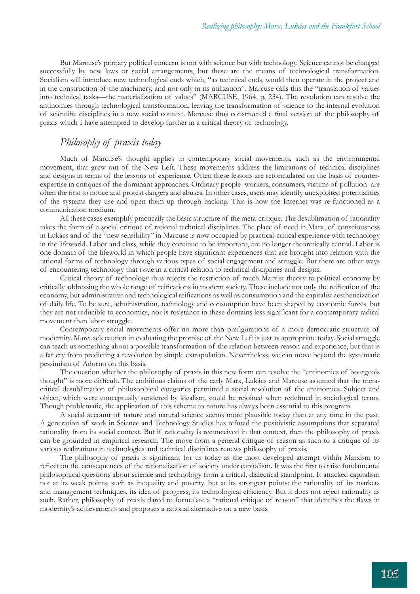But Marcuse's primary political concern is not with science but with technology. Science cannot be changed successfully by new laws or social arrangements, but these are the means of technological transformation. Socialism will introduce new technological ends which, "as technical ends, would then operate in the project and in the construction of the machinery, and not only in its utilization". Marcuse calls this the "translation of values into technical tasks—the materialization of values" (MARCUSE, 1964, p. 234). The revolution can resolve the antinomies through technological transformation, leaving the transformation of science to the internal evolution of scientific disciplines in a new social context. Marcuse thus constructed a final version of the philosophy of praxis which I have attempted to develop further in a critical theory of technology.

## *Philosophy of praxis today*

Much of Marcuse's thought applies to contemporary social movements, such as the environmental movement, that grew out of the New Left. These movements address the limitations of technical disciplines and designs in terms of the lessons of experience. Often these lessons are reformulated on the basis of counterexpertise in critiques of the dominant approaches. Ordinary people–workers, consumers, victims of pollution–are often the first to notice and protest dangers and abuses. In other cases, users may identify unexploited potentialities of the systems they use and open them up through hacking. This is how the Internet was re-functioned as a communication medium.

All these cases exemplify practically the basic structure of the meta-critique. The desublimation of rationality takes the form of a social critique of rational technical disciplines. The place of need in Marx, of consciousness in Lukács and of the "new sensibility" in Marcuse is now occupied by practical-critical experience with technology in the lifeworld. Labor and class, while they continue to be important, are no longer theoretically central. Labor is one domain of the lifeworld in which people have significant experiences that are brought into relation with the rational forms of technology through various types of social engagement and struggle. But there are other ways of encountering technology that issue in a critical relation to technical disciplines and designs.

Critical theory of technology thus rejects the restriction of much Marxist theory to political economy by critically addressing the whole range of reifications in modern society. These include not only the reification of the economy, but administrative and technological reifications as well as consumption and the capitalist aestheticization of daily life. To be sure, administration, technology and consumption have been shaped by economic forces, but they are not reducible to economics, nor is resistance in these domains less significant for a contemporary radical movement than labor struggle.

Contemporary social movements offer no more than prefigurations of a more democratic structure of modernity. Marcuse's caution in evaluating the promise of the New Left is just as appropriate today. Social struggle can teach us something about a possible transformation of the relation between reason and experience, but that is a far cry from predicting a revolution by simple extrapolation. Nevertheless, we can move beyond the systematic pessimism of Adorno on this basis.

The question whether the philosophy of praxis in this new form can resolve the "antinomies of bourgeois thought" is more difficult. The ambitious claims of the early Marx, Lukács and Marcuse assumed that the metacritical desublimation of philosophical categories permitted a social resolution of the antinomies. Subject and object, which were conceptually sundered by idealism, could be rejoined when redefined in sociological terms. Though problematic, the application of this schema to nature has always been essential to this program.

A social account of nature and natural science seems more plausible today than at any time in the past. A generation of work in Science and Technology Studies has refuted the positivistic assumptions that separated rationality from its social context. But if rationality is reconceived in that context, then the philosophy of praxis can be grounded in empirical research. The move from a general critique of reason as such to a critique of its various realizations in technologies and technical disciplines renews philosophy of praxis.

The philosophy of praxis is significant for us today as the most developed attempt within Marxism to reflect on the consequences of the rationalization of society under capitalism. It was the first to raise fundamental philosophical questions about science and technology from a critical, dialectical standpoint. It attacked capitalism not at its weak points, such as inequality and poverty, but at its strongest points: the rationality of its markets and management techniques, its idea of progress, its technological efficiency. But it does not reject rationality as such. Rather, philosophy of praxis dared to formulate a "rational critique of reason" that identifies the flaws in modernity's achievements and proposes a rational alternative on a new basis.